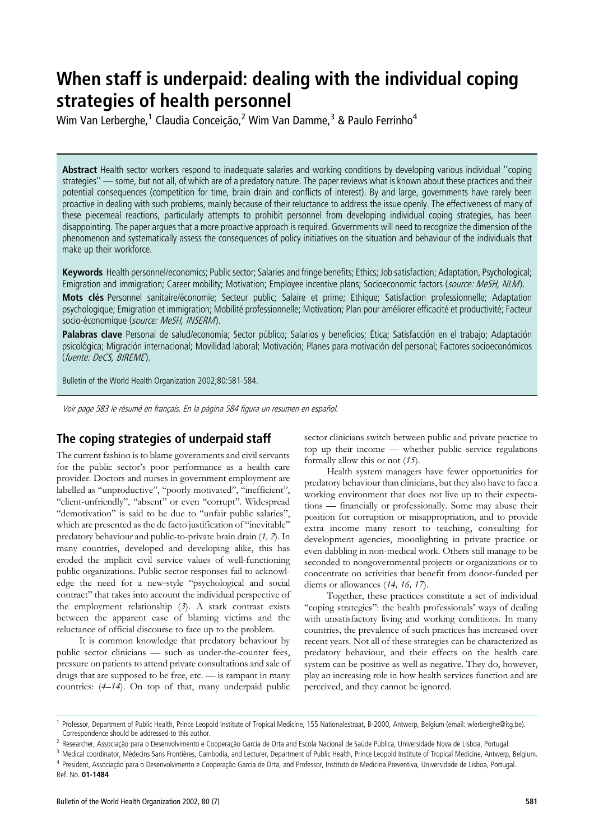# When staff is underpaid: dealing with the individual coping strategies of health personnel

Wim Van Lerberghe,<sup>1</sup> Claudia Conceição,<sup>2</sup> Wim Van Damme,<sup>3</sup> & Paulo Ferrinho<sup>4</sup>

Abstract Health sector workers respond to inadequate salaries and working conditions by developing various individual "coping strategies'' — some, but not all, of which are of a predatory nature. The paper reviews what is known about these practices and their potential consequences (competition for time, brain drain and conflicts of interest). By and large, governments have rarely been proactive in dealing with such problems, mainly because of their reluctance to address the issue openly. The effectiveness of many of these piecemeal reactions, particularly attempts to prohibit personnel from developing individual coping strategies, has been disappointing. The paper argues that a more proactive approach is required. Governments will need to recognize the dimension of the phenomenon and systematically assess the consequences of policy initiatives on the situation and behaviour of the individuals that make up their workforce.

Keywords Health personnel/economics; Public sector; Salaries and fringe benefits; Ethics; Job satisfaction; Adaptation, Psychological; Emigration and immigration; Career mobility; Motivation; Employee incentive plans; Socioeconomic factors (source: MeSH, NLM).

Mots clés Personnel sanitaire/économie; Secteur public; Salaire et prime; Ethique; Satisfaction professionnelle; Adaptation psychologique; Emigration et immigration; Mobilité professionnelle; Motivation; Plan pour améliorer efficacité et productivité; Facteur socio-économique (source: MeSH, INSERM).

Palabras clave Personal de salud/economía; Sector público; Salarios y beneficios; Ética; Satisfacción en el trabajo; Adaptación psicológica; Migración internacional; Movilidad laboral; Motivación; Planes para motivación del personal; Factores socioeconómicos (fuente: DeCS, BIREME).

Bulletin of the World Health Organization 2002;80:581-584.

Voir page 583 le résumé en français. En la página 584 figura un resumen en español.

## The coping strategies of underpaid staff

The current fashion is to blame governments and civil servants for the public sector's poor performance as a health care provider. Doctors and nurses in government employment are labelled as ''unproductive'', ''poorly motivated'', ''inefficient'', "client-unfriendly", "absent" or even "corrupt". Widespread ''demotivation'' is said to be due to ''unfair public salaries'', which are presented as the de facto justification of ''inevitable'' predatory behaviour and public-to-private brain drain (1, 2). In many countries, developed and developing alike, this has eroded the implicit civil service values of well-functioning public organizations. Public sector responses fail to acknowledge the need for a new-style ''psychological and social contract'' that takes into account the individual perspective of the employment relationship  $(3)$ . A stark contrast exists between the apparent ease of blaming victims and the reluctance of official discourse to face up to the problem.

It is common knowledge that predatory behaviour by public sector clinicians — such as under-the-counter fees, pressure on patients to attend private consultations and sale of drugs that are supposed to be free, etc. — is rampant in many countries: (4–14). On top of that, many underpaid public

sector clinicians switch between public and private practice to top up their income — whether public service regulations formally allow this or not  $(15)$ .

Health system managers have fewer opportunities for predatory behaviour than clinicians, but they also have to face a working environment that does not live up to their expectations — financially or professionally. Some may abuse their position for corruption or misappropriation, and to provide extra income many resort to teaching, consulting for development agencies, moonlighting in private practice or even dabbling in non-medical work. Others still manage to be seconded to nongovernmental projects or organizations or to concentrate on activities that benefit from donor-funded per diems or allowances (14, 16, 17).

Together, these practices constitute a set of individual ''coping strategies'': the health professionals' ways of dealing with unsatisfactory living and working conditions. In many countries, the prevalence of such practices has increased over recent years. Not all of these strategies can be characterized as predatory behaviour, and their effects on the health care system can be positive as well as negative. They do, however, play an increasing role in how health services function and are perceived, and they cannot be ignored.

<sup>&</sup>lt;sup>1</sup> Professor, Department of Public Health, Prince Leopold Institute of Tropical Medicine, 155 Nationalestraat, B-2000, Antwerp, Belgium (email: wlerberghe@itg.be). Correspondence should be addressed to this author.

<sup>&</sup>lt;sup>2</sup> Researcher, Associação para o Desenvolvimento e Cooperação Garcia de Orta and Escola Nacional de Saúde Pública, Universidade Nova de Lisboa, Portugal.

<sup>&</sup>lt;sup>3</sup> Medical coordinator, Médecins Sans Frontières, Cambodia, and Lecturer, Department of Public Health, Prince Leopold Institute of Tropical Medicine, Antwerp, Belgium. 4 President, Associação para o Desenvolvimento e Cooperação Garcia de Orta, and Professor, Instituto de Medicina Preventiva, Universidade de Lisboa, Portugal.

Ref. No. 01-1484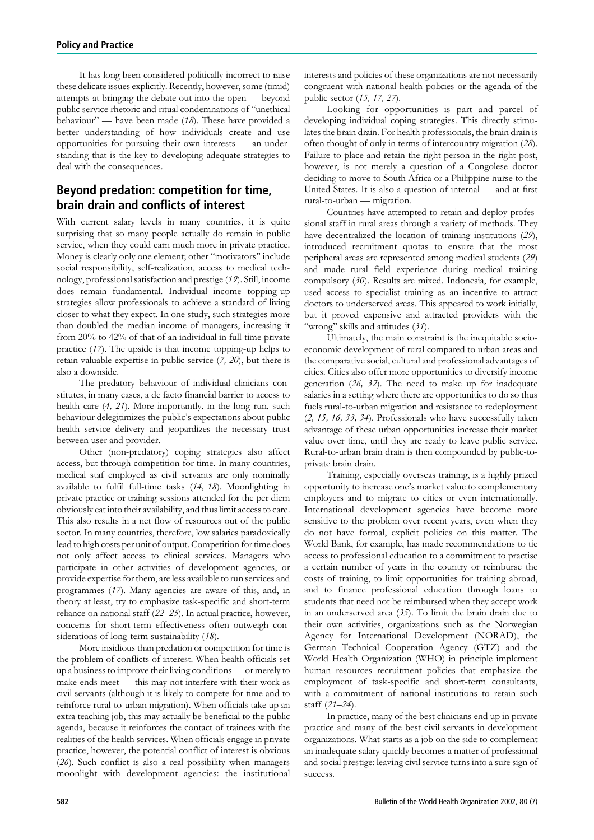It has long been considered politically incorrect to raise these delicate issues explicitly. Recently, however, some (timid) attempts at bringing the debate out into the open — beyond public service rhetoric and ritual condemnations of ''unethical behaviour'' — have been made (18). These have provided a better understanding of how individuals create and use opportunities for pursuing their own interests — an understanding that is the key to developing adequate strategies to deal with the consequences.

# Beyond predation: competition for time, brain drain and conflicts of interest

With current salary levels in many countries, it is quite surprising that so many people actually do remain in public service, when they could earn much more in private practice. Money is clearly only one element; other ''motivators'' include social responsibility, self-realization, access to medical technology, professional satisfaction and prestige (19). Still, income does remain fundamental. Individual income topping-up strategies allow professionals to achieve a standard of living closer to what they expect. In one study, such strategies more than doubled the median income of managers, increasing it from 20% to 42% of that of an individual in full-time private practice (17). The upside is that income topping-up helps to retain valuable expertise in public service (7, 20), but there is also a downside.

The predatory behaviour of individual clinicians constitutes, in many cases, a de facto financial barrier to access to health care  $(4, 21)$ . More importantly, in the long run, such behaviour delegitimizes the public's expectations about public health service delivery and jeopardizes the necessary trust between user and provider.

Other (non-predatory) coping strategies also affect access, but through competition for time. In many countries, medical staf employed as civil servants are only nominally available to fulfil full-time tasks (14, 18). Moonlighting in private practice or training sessions attended for the per diem obviously eat into their availability, and thus limit access to care. This also results in a net flow of resources out of the public sector. In many countries, therefore, low salaries paradoxically lead to high costs per unit of output. Competition for time does not only affect access to clinical services. Managers who participate in other activities of development agencies, or provide expertise for them, are less available to run services and programmes (17). Many agencies are aware of this, and, in theory at least, try to emphasize task-specific and short-term reliance on national staff (22–25). In actual practice, however, concerns for short-term effectiveness often outweigh considerations of long-term sustainability (18).

More insidious than predation or competition for time is the problem of conflicts of interest. When health officials set up a business to improve their living conditions — or merely to make ends meet — this may not interfere with their work as civil servants (although it is likely to compete for time and to reinforce rural-to-urban migration). When officials take up an extra teaching job, this may actually be beneficial to the public agenda, because it reinforces the contact of trainees with the realities of the health services. When officials engage in private practice, however, the potential conflict of interest is obvious (26). Such conflict is also a real possibility when managers moonlight with development agencies: the institutional interests and policies of these organizations are not necessarily congruent with national health policies or the agenda of the public sector (15, 17, 27).

Looking for opportunities is part and parcel of developing individual coping strategies. This directly stimulates the brain drain. For health professionals, the brain drain is often thought of only in terms of intercountry migration (28). Failure to place and retain the right person in the right post, however, is not merely a question of a Congolese doctor deciding to move to South Africa or a Philippine nurse to the United States. It is also a question of internal — and at first rural-to-urban — migration.

Countries have attempted to retain and deploy professional staff in rural areas through a variety of methods. They have decentralized the location of training institutions (29), introduced recruitment quotas to ensure that the most peripheral areas are represented among medical students (29) and made rural field experience during medical training compulsory (30). Results are mixed. Indonesia, for example, used access to specialist training as an incentive to attract doctors to underserved areas. This appeared to work initially, but it proved expensive and attracted providers with the "wrong" skills and attitudes (31).

Ultimately, the main constraint is the inequitable socioeconomic development of rural compared to urban areas and the comparative social, cultural and professional advantages of cities. Cities also offer more opportunities to diversify income generation (26, 32). The need to make up for inadequate salaries in a setting where there are opportunities to do so thus fuels rural-to-urban migration and resistance to redeployment (2, 15, 16, 33, 34). Professionals who have successfully taken advantage of these urban opportunities increase their market value over time, until they are ready to leave public service. Rural-to-urban brain drain is then compounded by public-toprivate brain drain.

Training, especially overseas training, is a highly prized opportunity to increase one's market value to complementary employers and to migrate to cities or even internationally. International development agencies have become more sensitive to the problem over recent years, even when they do not have formal, explicit policies on this matter. The World Bank, for example, has made recommendations to tie access to professional education to a commitment to practise a certain number of years in the country or reimburse the costs of training, to limit opportunities for training abroad, and to finance professional education through loans to students that need not be reimbursed when they accept work in an underserved area (35). To limit the brain drain due to their own activities, organizations such as the Norwegian Agency for International Development (NORAD), the German Technical Cooperation Agency (GTZ) and the World Health Organization (WHO) in principle implement human resources recruitment policies that emphasize the employment of task-specific and short-term consultants, with a commitment of national institutions to retain such staff (21–24).

In practice, many of the best clinicians end up in private practice and many of the best civil servants in development organizations. What starts as a job on the side to complement an inadequate salary quickly becomes a matter of professional and social prestige: leaving civil service turns into a sure sign of success.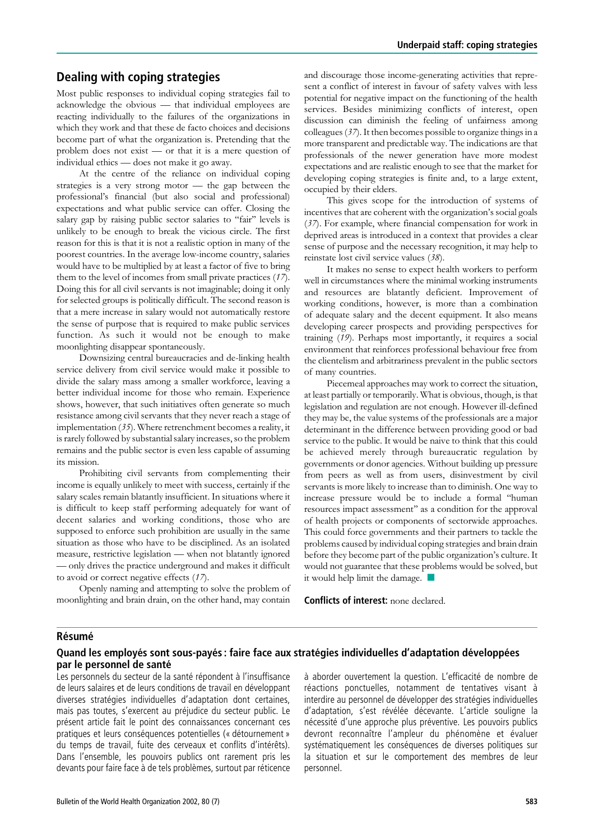# Dealing with coping strategies

Most public responses to individual coping strategies fail to acknowledge the obvious — that individual employees are reacting individually to the failures of the organizations in which they work and that these de facto choices and decisions become part of what the organization is. Pretending that the problem does not exist — or that it is a mere question of individual ethics — does not make it go away.

At the centre of the reliance on individual coping strategies is a very strong motor — the gap between the professional's financial (but also social and professional) expectations and what public service can offer. Closing the salary gap by raising public sector salaries to "fair" levels is unlikely to be enough to break the vicious circle. The first reason for this is that it is not a realistic option in many of the poorest countries. In the average low-income country, salaries would have to be multiplied by at least a factor of five to bring them to the level of incomes from small private practices (17). Doing this for all civil servants is not imaginable; doing it only for selected groups is politically difficult. The second reason is that a mere increase in salary would not automatically restore the sense of purpose that is required to make public services function. As such it would not be enough to make moonlighting disappear spontaneously.

Downsizing central bureaucracies and de-linking health service delivery from civil service would make it possible to divide the salary mass among a smaller workforce, leaving a better individual income for those who remain. Experience shows, however, that such initiatives often generate so much resistance among civil servants that they never reach a stage of implementation (35). Where retrenchment becomes a reality, it is rarely followed by substantial salary increases, so the problem remains and the public sector is even less capable of assuming its mission.

Prohibiting civil servants from complementing their income is equally unlikely to meet with success, certainly if the salary scales remain blatantly insufficient. In situations where it is difficult to keep staff performing adequately for want of decent salaries and working conditions, those who are supposed to enforce such prohibition are usually in the same situation as those who have to be disciplined. As an isolated measure, restrictive legislation — when not blatantly ignored — only drives the practice underground and makes it difficult to avoid or correct negative effects (17).

Openly naming and attempting to solve the problem of moonlighting and brain drain, on the other hand, may contain

and discourage those income-generating activities that represent a conflict of interest in favour of safety valves with less potential for negative impact on the functioning of the health services. Besides minimizing conflicts of interest, open discussion can diminish the feeling of unfairness among colleagues (37). It then becomes possible to organize things in a more transparent and predictable way. The indications are that professionals of the newer generation have more modest expectations and are realistic enough to see that the market for developing coping strategies is finite and, to a large extent, occupied by their elders.

This gives scope for the introduction of systems of incentives that are coherent with the organization's social goals (37). For example, where financial compensation for work in deprived areas is introduced in a context that provides a clear sense of purpose and the necessary recognition, it may help to reinstate lost civil service values (38).

It makes no sense to expect health workers to perform well in circumstances where the minimal working instruments and resources are blatantly deficient. Improvement of working conditions, however, is more than a combination of adequate salary and the decent equipment. It also means developing career prospects and providing perspectives for training (19). Perhaps most importantly, it requires a social environment that reinforces professional behaviour free from the clientelism and arbitrariness prevalent in the public sectors of many countries.

Piecemeal approaches may work to correct the situation, at least partially or temporarily. What is obvious, though, is that legislation and regulation are not enough. However ill-defined they may be, the value systems of the professionals are a major determinant in the difference between providing good or bad service to the public. It would be naive to think that this could be achieved merely through bureaucratic regulation by governments or donor agencies. Without building up pressure from peers as well as from users, disinvestment by civil servants is more likely to increase than to diminish. One way to increase pressure would be to include a formal ''human resources impact assessment'' as a condition for the approval of health projects or components of sectorwide approaches. This could force governments and their partners to tackle the problems caused by individual coping strategies and brain drain before they become part of the public organization's culture. It would not guarantee that these problems would be solved, but it would help limit the damage. *n*

Conflicts of interest: none declared.

#### **Résumé**

#### Quand les employés sont sous-payés : faire face aux stratégies individuelles d'adaptation développées par le personnel de sante´

Les personnels du secteur de la santé répondent à l'insuffisance de leurs salaires et de leurs conditions de travail en développant diverses stratégies individuelles d'adaptation dont certaines, mais pas toutes, s'exercent au préjudice du secteur public. Le présent article fait le point des connaissances concernant ces pratiques et leurs conséquences potentielles (« détournement » du temps de travail, fuite des cerveaux et conflits d'intérêts). Dans l'ensemble, les pouvoirs publics ont rarement pris les devants pour faire face à de tels problèmes, surtout par réticence à aborder ouvertement la question. L'efficacité de nombre de réactions ponctuelles, notamment de tentatives visant à interdire au personnel de développer des stratégies individuelles d'adaptation, s'est révélée décevante. L'article souligne la nécessité d'une approche plus préventive. Les pouvoirs publics devront reconnaître l'ampleur du phénomène et évaluer systématiquement les conséquences de diverses politiques sur la situation et sur le comportement des membres de leur personnel.